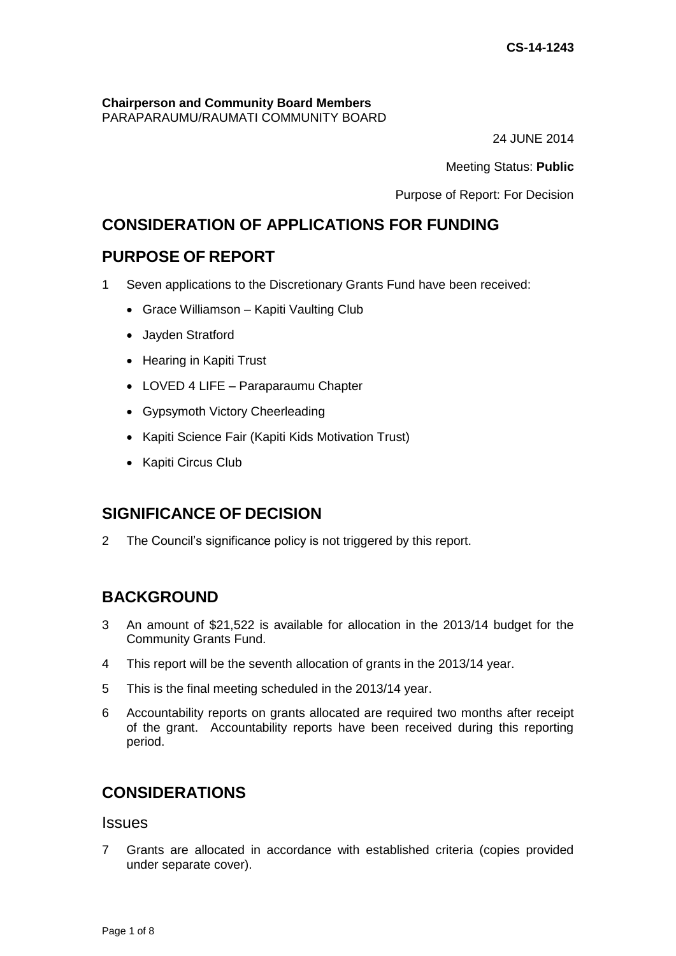#### **Chairperson and Community Board Members** PARAPARAUMU/RAUMATI COMMUNITY BOARD

24 JUNE 2014

Meeting Status: **Public**

Purpose of Report: For Decision

# **CONSIDERATION OF APPLICATIONS FOR FUNDING**

# **PURPOSE OF REPORT**

- 1 Seven applications to the Discretionary Grants Fund have been received:
	- Grace Williamson Kapiti Vaulting Club
	- Jayden Stratford
	- Hearing in Kapiti Trust
	- LOVED 4 LIFE Paraparaumu Chapter
	- Gypsymoth Victory Cheerleading
	- Kapiti Science Fair (Kapiti Kids Motivation Trust)
	- Kapiti Circus Club

# **SIGNIFICANCE OF DECISION**

2 The Council's significance policy is not triggered by this report.

# **BACKGROUND**

- 3 An amount of \$21,522 is available for allocation in the 2013/14 budget for the Community Grants Fund.
- 4 This report will be the seventh allocation of grants in the 2013/14 year.
- 5 This is the final meeting scheduled in the 2013/14 year.
- 6 Accountability reports on grants allocated are required two months after receipt of the grant. Accountability reports have been received during this reporting period.

# **CONSIDERATIONS**

### **Issues**

7 Grants are allocated in accordance with established criteria (copies provided under separate cover).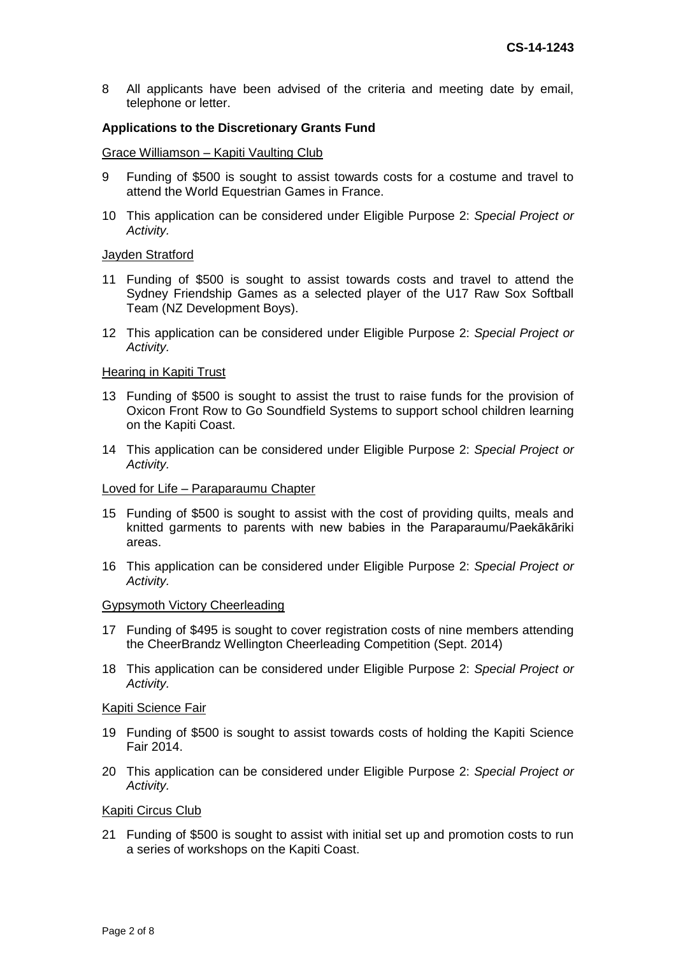8 All applicants have been advised of the criteria and meeting date by email, telephone or letter.

### **Applications to the Discretionary Grants Fund**

#### Grace Williamson – Kapiti Vaulting Club

- 9 Funding of \$500 is sought to assist towards costs for a costume and travel to attend the World Equestrian Games in France.
- 10 This application can be considered under Eligible Purpose 2: *Special Project or Activity.*

#### Jayden Stratford

- 11 Funding of \$500 is sought to assist towards costs and travel to attend the Sydney Friendship Games as a selected player of the U17 Raw Sox Softball Team (NZ Development Boys).
- 12 This application can be considered under Eligible Purpose 2: *Special Project or Activity.*

#### Hearing in Kapiti Trust

- 13 Funding of \$500 is sought to assist the trust to raise funds for the provision of Oxicon Front Row to Go Soundfield Systems to support school children learning on the Kapiti Coast.
- 14 This application can be considered under Eligible Purpose 2: *Special Project or Activity.*

#### Loved for Life – Paraparaumu Chapter

- 15 Funding of \$500 is sought to assist with the cost of providing quilts, meals and knitted garments to parents with new babies in the Paraparaumu/Paekākāriki areas.
- 16 This application can be considered under Eligible Purpose 2: *Special Project or Activity.*

#### Gypsymoth Victory Cheerleading

- 17 Funding of \$495 is sought to cover registration costs of nine members attending the CheerBrandz Wellington Cheerleading Competition (Sept. 2014)
- 18 This application can be considered under Eligible Purpose 2: *Special Project or Activity.*

#### Kapiti Science Fair

- 19 Funding of \$500 is sought to assist towards costs of holding the Kapiti Science Fair 2014.
- 20 This application can be considered under Eligible Purpose 2: *Special Project or Activity.*

#### Kapiti Circus Club

21 Funding of \$500 is sought to assist with initial set up and promotion costs to run a series of workshops on the Kapiti Coast.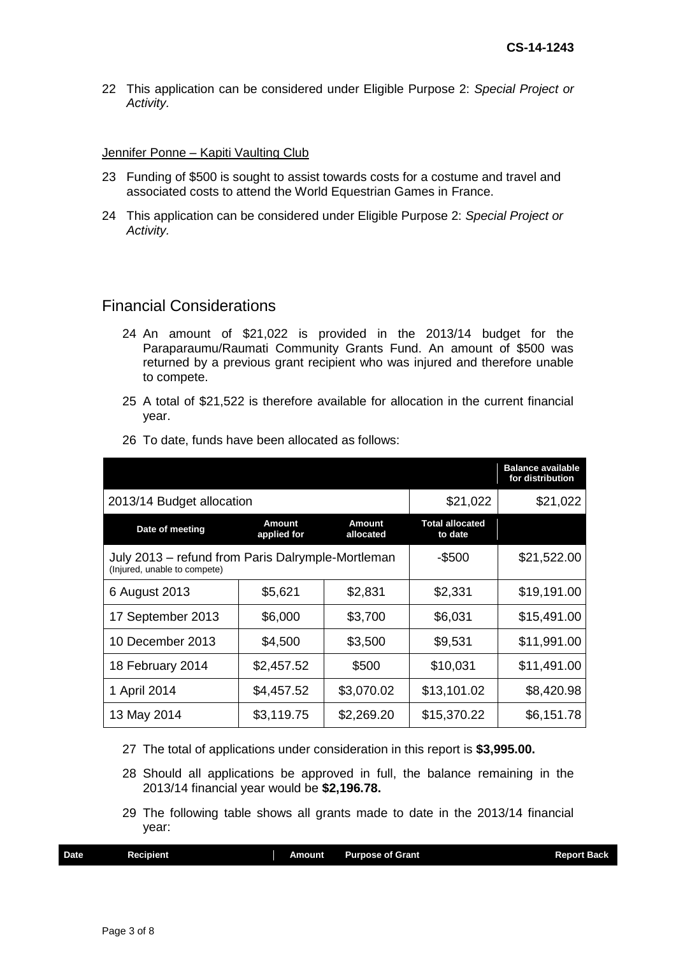22 This application can be considered under Eligible Purpose 2: *Special Project or Activity.* 

#### Jennifer Ponne - Kapiti Vaulting Club

- 23 Funding of \$500 is sought to assist towards costs for a costume and travel and associated costs to attend the World Equestrian Games in France.
- 24 This application can be considered under Eligible Purpose 2: *Special Project or Activity.*

### Financial Considerations

- 24 An amount of \$21,022 is provided in the 2013/14 budget for the Paraparaumu/Raumati Community Grants Fund. An amount of \$500 was returned by a previous grant recipient who was injured and therefore unable to compete.
- 25 A total of \$21,522 is therefore available for allocation in the current financial year.

|                                                                                   |                              |                            |                                   | <b>Balance available</b><br>for distribution |
|-----------------------------------------------------------------------------------|------------------------------|----------------------------|-----------------------------------|----------------------------------------------|
| 2013/14 Budget allocation                                                         | \$21,022                     | \$21,022                   |                                   |                                              |
| Date of meeting                                                                   | <b>Amount</b><br>applied for | <b>Amount</b><br>allocated | <b>Total allocated</b><br>to date |                                              |
| July 2013 – refund from Paris Dalrymple-Mortleman<br>(Injured, unable to compete) | $-$ \$500                    | \$21,522.00                |                                   |                                              |
| 6 August 2013                                                                     | \$5,621                      | \$2,831                    | \$2,331                           | \$19,191.00                                  |
| 17 September 2013                                                                 | \$6,000                      | \$3,700                    | \$6,031                           | \$15,491.00                                  |
| 10 December 2013                                                                  | \$4,500                      | \$3,500                    | \$9,531                           | \$11,991.00                                  |
| 18 February 2014                                                                  | \$2,457.52                   | \$500                      | \$10,031                          | \$11,491.00                                  |
| 1 April 2014                                                                      | \$4,457.52                   | \$3,070.02                 | \$13,101.02                       | \$8,420.98                                   |
| 13 May 2014                                                                       | \$3,119.75                   | \$2,269.20                 | \$15,370.22                       | \$6,151.78                                   |

26 To date, funds have been allocated as follows:

- 27 The total of applications under consideration in this report is **\$3,995.00.**
- 28 Should all applications be approved in full, the balance remaining in the 2013/14 financial year would be **\$2,196.78.**
- 29 The following table shows all grants made to date in the 2013/14 financial year:

| <b>Date</b> | <b>Recipient</b> | Amount | <b>Purpose of Grant</b> | Report Back |
|-------------|------------------|--------|-------------------------|-------------|
|             |                  |        |                         |             |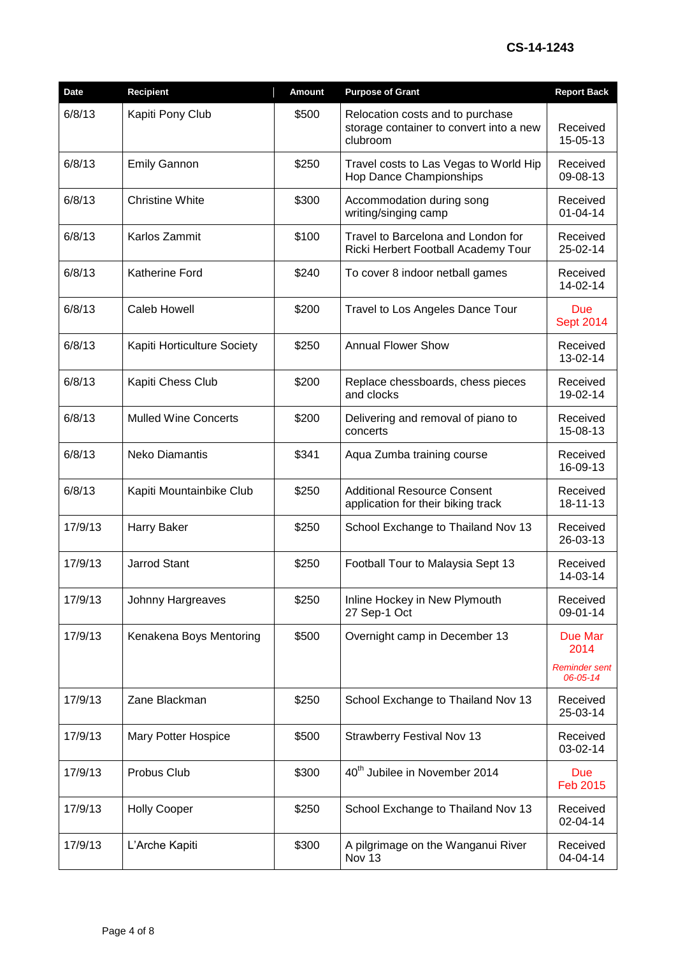| Date    | <b>Recipient</b>            | <b>Amount</b> | <b>Purpose of Grant</b>                                                                 | <b>Report Back</b>                                        |
|---------|-----------------------------|---------------|-----------------------------------------------------------------------------------------|-----------------------------------------------------------|
| 6/8/13  | Kapiti Pony Club            | \$500         | Relocation costs and to purchase<br>storage container to convert into a new<br>clubroom | Received<br>15-05-13                                      |
| 6/8/13  | <b>Emily Gannon</b>         | \$250         | Travel costs to Las Vegas to World Hip<br>Hop Dance Championships                       | Received<br>09-08-13                                      |
| 6/8/13  | <b>Christine White</b>      | \$300         | Accommodation during song<br>writing/singing camp                                       | Received<br>$01 - 04 - 14$                                |
| 6/8/13  | Karlos Zammit               | \$100         | Travel to Barcelona and London for<br>Ricki Herbert Football Academy Tour               | Received<br>25-02-14                                      |
| 6/8/13  | <b>Katherine Ford</b>       | \$240         | To cover 8 indoor netball games                                                         | Received<br>14-02-14                                      |
| 6/8/13  | <b>Caleb Howell</b>         | \$200         | Travel to Los Angeles Dance Tour                                                        | <b>Due</b><br><b>Sept 2014</b>                            |
| 6/8/13  | Kapiti Horticulture Society | \$250         | <b>Annual Flower Show</b>                                                               | Received<br>13-02-14                                      |
| 6/8/13  | Kapiti Chess Club           | \$200         | Replace chessboards, chess pieces<br>and clocks                                         | Received<br>19-02-14                                      |
| 6/8/13  | <b>Mulled Wine Concerts</b> | \$200         | Delivering and removal of piano to<br>concerts                                          | Received<br>15-08-13                                      |
| 6/8/13  | <b>Neko Diamantis</b>       | \$341         | Aqua Zumba training course                                                              | Received<br>16-09-13                                      |
| 6/8/13  | Kapiti Mountainbike Club    | \$250         | <b>Additional Resource Consent</b><br>application for their biking track                | Received<br>18-11-13                                      |
| 17/9/13 | <b>Harry Baker</b>          | \$250         | School Exchange to Thailand Nov 13                                                      | Received<br>26-03-13                                      |
| 17/9/13 | <b>Jarrod Stant</b>         | \$250         | Football Tour to Malaysia Sept 13                                                       | Received<br>14-03-14                                      |
| 17/9/13 | Johnny Hargreaves           | \$250         | Inline Hockey in New Plymouth<br>27 Sep-1 Oct                                           | Received<br>09-01-14                                      |
| 17/9/13 | Kenakena Boys Mentoring     | \$500         | Overnight camp in December 13                                                           | Due Mar<br>2014<br><b>Reminder sent</b><br>$06 - 05 - 14$ |
| 17/9/13 | Zane Blackman               | \$250         | School Exchange to Thailand Nov 13                                                      | Received<br>25-03-14                                      |
| 17/9/13 | <b>Mary Potter Hospice</b>  | \$500         | <b>Strawberry Festival Nov 13</b>                                                       | Received<br>03-02-14                                      |
| 17/9/13 | Probus Club                 | \$300         | 40 <sup>th</sup> Jubilee in November 2014                                               | <b>Due</b><br>Feb 2015                                    |
| 17/9/13 | <b>Holly Cooper</b>         | \$250         | School Exchange to Thailand Nov 13                                                      | Received<br>02-04-14                                      |
| 17/9/13 | L'Arche Kapiti              | \$300         | A pilgrimage on the Wanganui River<br>Nov 13                                            | Received<br>04-04-14                                      |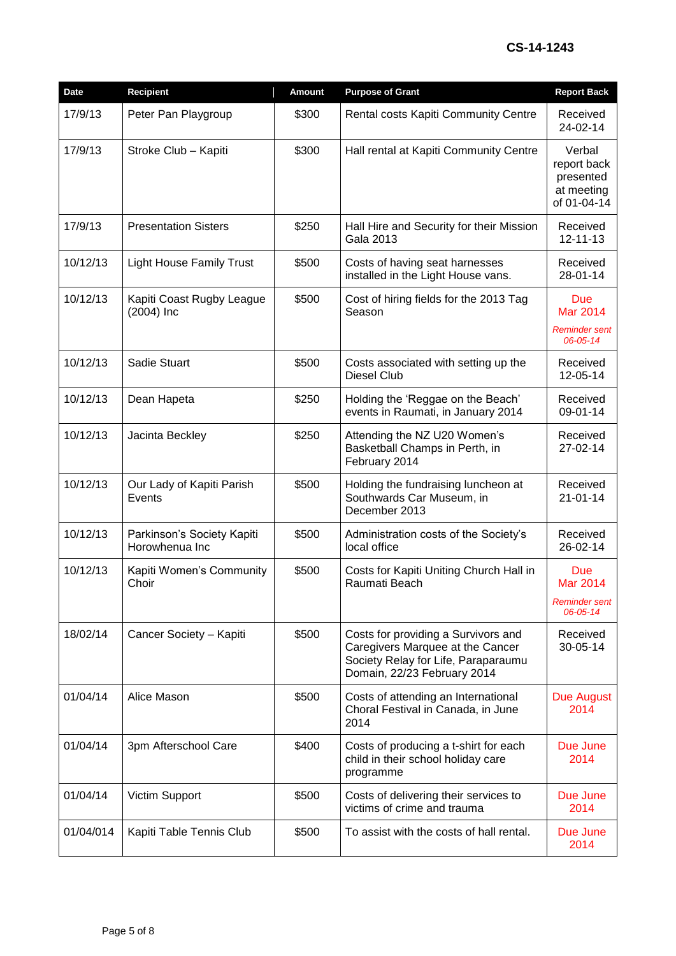| <b>Date</b> | <b>Recipient</b>                             | <b>Amount</b> | <b>Purpose of Grant</b>                                                                                                                       | <b>Report Back</b>                                                |
|-------------|----------------------------------------------|---------------|-----------------------------------------------------------------------------------------------------------------------------------------------|-------------------------------------------------------------------|
| 17/9/13     | Peter Pan Playgroup                          | \$300         | Rental costs Kapiti Community Centre                                                                                                          | Received<br>24-02-14                                              |
| 17/9/13     | Stroke Club - Kapiti                         | \$300         | Hall rental at Kapiti Community Centre                                                                                                        | Verbal<br>report back<br>presented<br>at meeting<br>of 01-04-14   |
| 17/9/13     | <b>Presentation Sisters</b>                  | \$250         | Hall Hire and Security for their Mission<br><b>Gala 2013</b>                                                                                  | Received<br>12-11-13                                              |
| 10/12/13    | <b>Light House Family Trust</b>              | \$500         | Costs of having seat harnesses<br>installed in the Light House vans.                                                                          | Received<br>28-01-14                                              |
| 10/12/13    | Kapiti Coast Rugby League<br>$(2004)$ Inc    | \$500         | Cost of hiring fields for the 2013 Tag<br>Season                                                                                              | <b>Due</b><br><b>Mar 2014</b><br><b>Reminder sent</b><br>06-05-14 |
| 10/12/13    | Sadie Stuart                                 | \$500         | Costs associated with setting up the<br>Diesel Club                                                                                           | Received<br>12-05-14                                              |
| 10/12/13    | Dean Hapeta                                  | \$250         | Holding the 'Reggae on the Beach'<br>events in Raumati, in January 2014                                                                       | Received<br>09-01-14                                              |
| 10/12/13    | Jacinta Beckley                              | \$250         | Attending the NZ U20 Women's<br>Basketball Champs in Perth, in<br>February 2014                                                               | Received<br>27-02-14                                              |
| 10/12/13    | Our Lady of Kapiti Parish<br>Events          | \$500         | Holding the fundraising luncheon at<br>Southwards Car Museum, in<br>December 2013                                                             | Received<br>$21 - 01 - 14$                                        |
| 10/12/13    | Parkinson's Society Kapiti<br>Horowhenua Inc | \$500         | Administration costs of the Society's<br>local office                                                                                         | Received<br>26-02-14                                              |
| 10/12/13    | Kapiti Women's Community<br>Choir            | \$500         | Costs for Kapiti Uniting Church Hall in<br>Raumati Beach                                                                                      | Due<br><b>Mar 2014</b><br>Reminder sent<br>06-05-14               |
| 18/02/14    | Cancer Society - Kapiti                      | \$500         | Costs for providing a Survivors and<br>Caregivers Marquee at the Cancer<br>Society Relay for Life, Paraparaumu<br>Domain, 22/23 February 2014 | Received<br>30-05-14                                              |
| 01/04/14    | Alice Mason                                  | \$500         | Costs of attending an International<br>Choral Festival in Canada, in June<br>2014                                                             | Due August<br>2014                                                |
| 01/04/14    | 3pm Afterschool Care                         | \$400         | Costs of producing a t-shirt for each<br>child in their school holiday care<br>programme                                                      | Due June<br>2014                                                  |
| 01/04/14    | Victim Support                               | \$500         | Costs of delivering their services to<br>victims of crime and trauma                                                                          | Due June<br>2014                                                  |
| 01/04/014   | Kapiti Table Tennis Club                     | \$500         | To assist with the costs of hall rental.                                                                                                      | Due June<br>2014                                                  |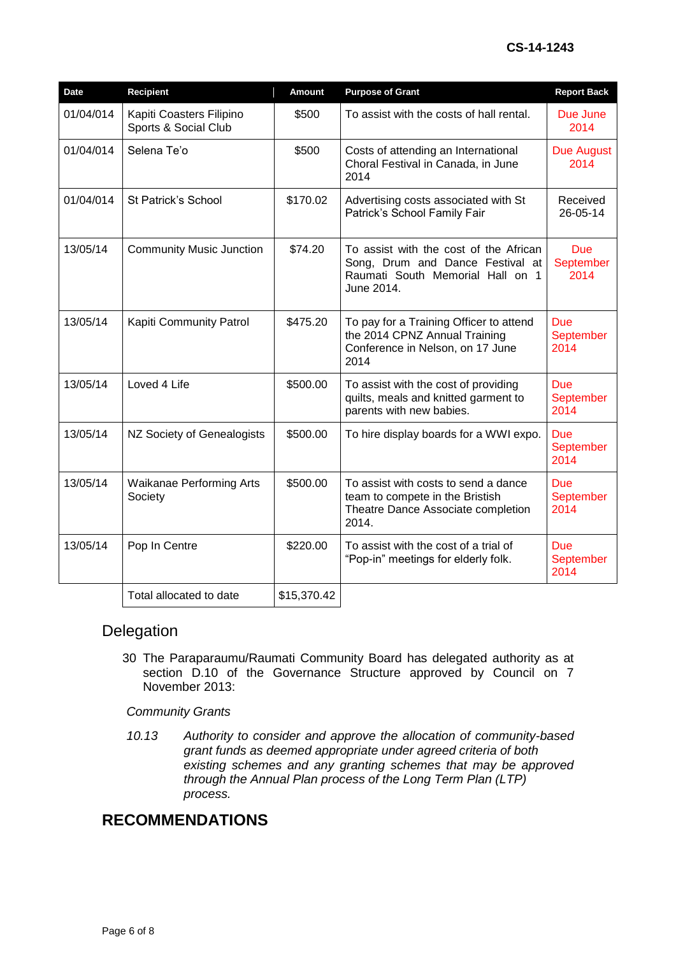| <b>Date</b> | <b>Recipient</b>                                 | <b>Amount</b> | <b>Purpose of Grant</b>                                                                                                      | <b>Report Back</b>              |
|-------------|--------------------------------------------------|---------------|------------------------------------------------------------------------------------------------------------------------------|---------------------------------|
| 01/04/014   | Kapiti Coasters Filipino<br>Sports & Social Club | \$500         | To assist with the costs of hall rental.                                                                                     | Due June<br>2014                |
| 01/04/014   | Selena Te'o                                      | \$500         | Costs of attending an International<br>Choral Festival in Canada, in June<br>2014                                            | Due August<br>2014              |
| 01/04/014   | St Patrick's School                              | \$170.02      | Advertising costs associated with St<br>Patrick's School Family Fair                                                         | Received<br>26-05-14            |
| 13/05/14    | <b>Community Music Junction</b>                  | \$74.20       | To assist with the cost of the African<br>Song, Drum and Dance Festival at<br>Raumati South Memorial Hall on 1<br>June 2014. | <b>Due</b><br>September<br>2014 |
| 13/05/14    | Kapiti Community Patrol                          | \$475.20      | To pay for a Training Officer to attend<br>the 2014 CPNZ Annual Training<br>Conference in Nelson, on 17 June<br>2014         | <b>Due</b><br>September<br>2014 |
| 13/05/14    | Loved 4 Life                                     | \$500.00      | To assist with the cost of providing<br>quilts, meals and knitted garment to<br>parents with new babies.                     | <b>Due</b><br>September<br>2014 |
| 13/05/14    | NZ Society of Genealogists                       | \$500.00      | To hire display boards for a WWI expo.                                                                                       | <b>Due</b><br>September<br>2014 |
| 13/05/14    | <b>Waikanae Performing Arts</b><br>Society       | \$500.00      | To assist with costs to send a dance<br>team to compete in the Bristish<br>Theatre Dance Associate completion<br>2014.       | <b>Due</b><br>September<br>2014 |
| 13/05/14    | Pop In Centre                                    | \$220.00      | To assist with the cost of a trial of<br>"Pop-in" meetings for elderly folk.                                                 | Due<br>September<br>2014        |
|             | Total allocated to date                          | \$15,370.42   |                                                                                                                              |                                 |

## Delegation

30 The Paraparaumu/Raumati Community Board has delegated authority as at section D.10 of the Governance Structure approved by Council on 7 November 2013:

### *Community Grants*

*10.13 Authority to consider and approve the allocation of community-based grant funds as deemed appropriate under agreed criteria of both existing schemes and any granting schemes that may be approved through the Annual Plan process of the Long Term Plan (LTP) process.* 

## **RECOMMENDATIONS**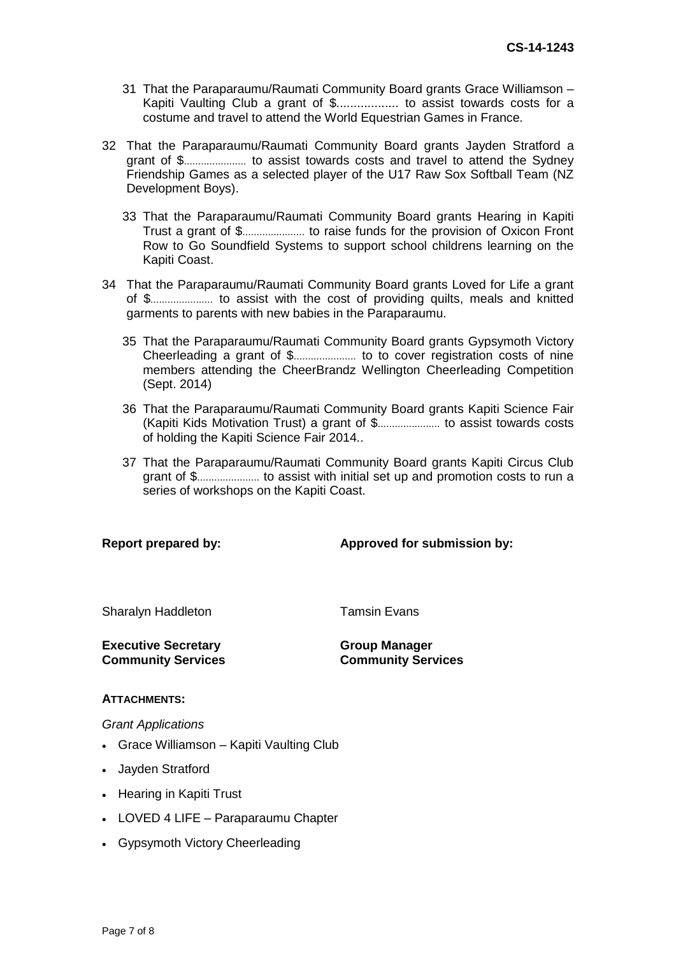- 31 That the Paraparaumu/Raumati Community Board grants Grace Williamson Kapiti Vaulting Club a grant of \$.................. to assist towards costs for a costume and travel to attend the World Equestrian Games in France.
- 32 That the Paraparaumu/Raumati Community Board grants Jayden Stratford a grant of \$...................... to assist towards costs and travel to attend the Sydney Friendship Games as a selected player of the U17 Raw Sox Softball Team (NZ Development Boys).
	- 33 That the Paraparaumu/Raumati Community Board grants Hearing in Kapiti Trust a grant of \$...................... to raise funds for the provision of Oxicon Front Row to Go Soundfield Systems to support school childrens learning on the Kapiti Coast.
- 34 That the Paraparaumu/Raumati Community Board grants Loved for Life a grant of \$...................... to assist with the cost of providing quilts, meals and knitted garments to parents with new babies in the Paraparaumu.
	- 35 That the Paraparaumu/Raumati Community Board grants Gypsymoth Victory Cheerleading a grant of \$...................... to to cover registration costs of nine members attending the CheerBrandz Wellington Cheerleading Competition (Sept. 2014)
	- 36 That the Paraparaumu/Raumati Community Board grants Kapiti Science Fair (Kapiti Kids Motivation Trust) a grant of \$...................... to assist towards costs of holding the Kapiti Science Fair 2014..
	- 37 That the Paraparaumu/Raumati Community Board grants Kapiti Circus Club grant of \$...................... to assist with initial set up and promotion costs to run a series of workshops on the Kapiti Coast.

**Report prepared by: Approved for submission by:**

Sharalyn Haddleton **Tamsin Evans** 

**Executive Secretary Community Services** **Group Manager Community Services**

### **ATTACHMENTS:**

*Grant Applications*

- Grace Williamson Kapiti Vaulting Club
- Jayden Stratford
- Hearing in Kapiti Trust
- LOVED 4 LIFE Paraparaumu Chapter
- Gypsymoth Victory Cheerleading